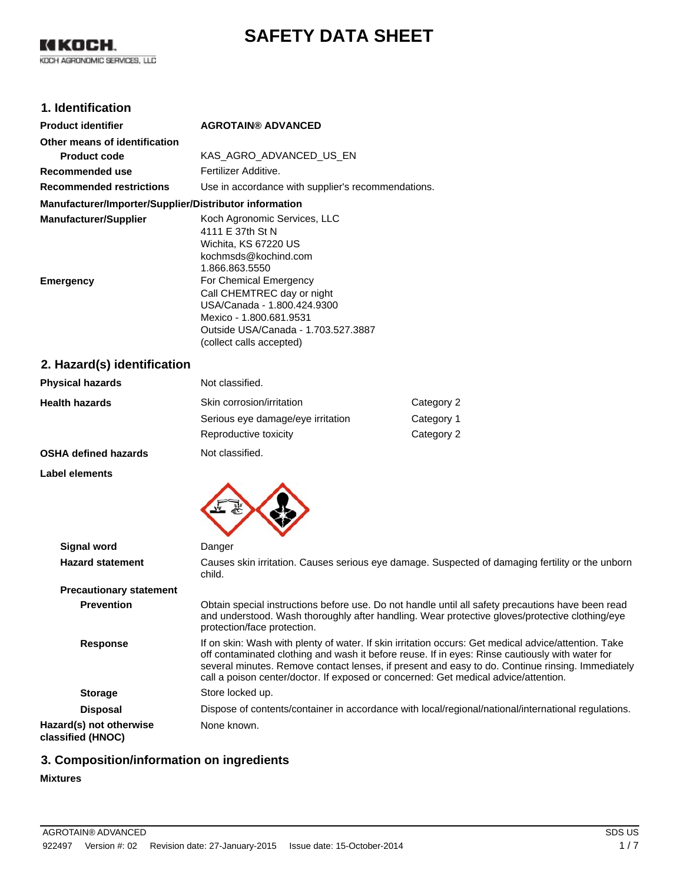# **SAFETY DATA SHEET**

## **1. Identification**

| <b>Product identifier</b>                              | <b>AGROTAIN® ADVANCED</b>                                                                                                                                                         |
|--------------------------------------------------------|-----------------------------------------------------------------------------------------------------------------------------------------------------------------------------------|
| Other means of identification                          |                                                                                                                                                                                   |
| Product code                                           | KAS AGRO ADVANCED US EN                                                                                                                                                           |
| Recommended use                                        | Fertilizer Additive.                                                                                                                                                              |
| <b>Recommended restrictions</b>                        | Use in accordance with supplier's recommendations.                                                                                                                                |
| Manufacturer/Importer/Supplier/Distributor information |                                                                                                                                                                                   |
| <b>Manufacturer/Supplier</b>                           | Koch Agronomic Services, LLC<br>4111 E 37th St N<br>Wichita, KS 67220 US<br>kochmsds@kochind.com<br>1.866.863.5550                                                                |
| Emergency                                              | For Chemical Emergency<br>Call CHEMTREC day or night<br>USA/Canada - 1.800.424.9300<br>Mexico - 1.800.681.9531<br>Outside USA/Canada - 1.703.527.3887<br>(collect calls accepted) |
|                                                        |                                                                                                                                                                                   |

#### **2. Hazard(s) identification**

| <b>Physical hazards</b>     | Not classified.                   |            |
|-----------------------------|-----------------------------------|------------|
| <b>Health hazards</b>       | Skin corrosion/irritation         | Category 2 |
|                             | Serious eye damage/eye irritation | Category 1 |
|                             | Reproductive toxicity             | Category 2 |
| <b>OSHA defined hazards</b> | Not classified.                   |            |

#### **Label elements**



| <b>Signal word</b>                           | Danger                                                                                                                                                                                                                                                                                                                                                                                             |
|----------------------------------------------|----------------------------------------------------------------------------------------------------------------------------------------------------------------------------------------------------------------------------------------------------------------------------------------------------------------------------------------------------------------------------------------------------|
| <b>Hazard statement</b>                      | Causes skin irritation. Causes serious eye damage. Suspected of damaging fertility or the unborn<br>child.                                                                                                                                                                                                                                                                                         |
| <b>Precautionary statement</b>               |                                                                                                                                                                                                                                                                                                                                                                                                    |
| <b>Prevention</b>                            | Obtain special instructions before use. Do not handle until all safety precautions have been read<br>and understood. Wash thoroughly after handling. Wear protective gloves/protective clothing/eye<br>protection/face protection.                                                                                                                                                                 |
| <b>Response</b>                              | If on skin: Wash with plenty of water. If skin irritation occurs: Get medical advice/attention. Take<br>off contaminated clothing and wash it before reuse. If in eyes: Rinse cautiously with water for<br>several minutes. Remove contact lenses, if present and easy to do. Continue rinsing. Immediately<br>call a poison center/doctor. If exposed or concerned: Get medical advice/attention. |
| <b>Storage</b>                               | Store locked up.                                                                                                                                                                                                                                                                                                                                                                                   |
| <b>Disposal</b>                              | Dispose of contents/container in accordance with local/regional/national/international regulations.                                                                                                                                                                                                                                                                                                |
| Hazard(s) not otherwise<br>classified (HNOC) | None known.                                                                                                                                                                                                                                                                                                                                                                                        |

## **3. Composition/information on ingredients**

#### **Mixtures**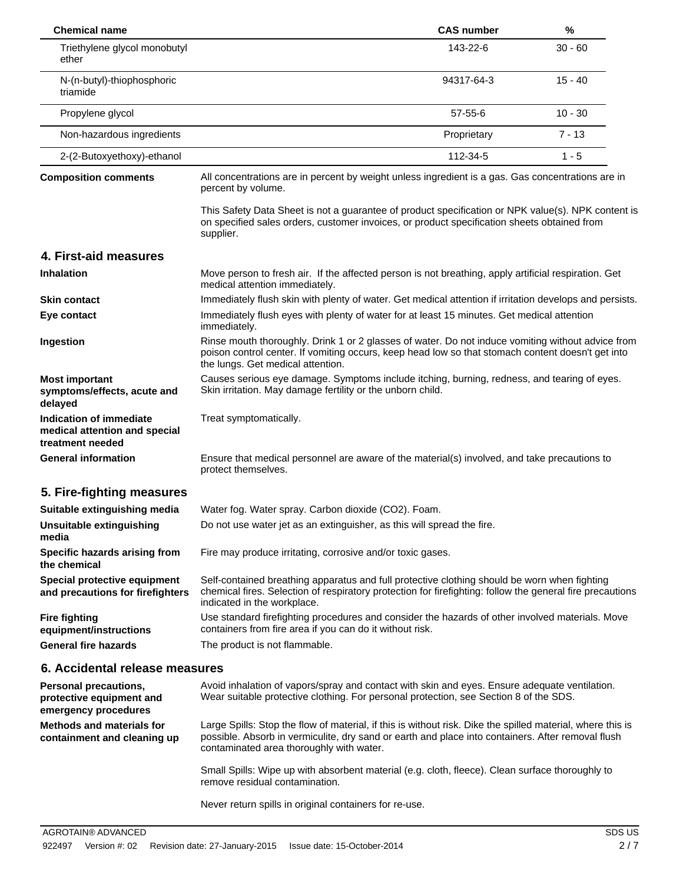| <b>Chemical name</b>                                                         |                                                                                                                                                                                                                                                             | <b>CAS number</b> | %         |  |
|------------------------------------------------------------------------------|-------------------------------------------------------------------------------------------------------------------------------------------------------------------------------------------------------------------------------------------------------------|-------------------|-----------|--|
| Triethylene glycol monobutyl<br>ether                                        |                                                                                                                                                                                                                                                             | 143-22-6          | $30 - 60$ |  |
| N-(n-butyl)-thiophosphoric<br>triamide                                       |                                                                                                                                                                                                                                                             | 94317-64-3        | $15 - 40$ |  |
| Propylene glycol                                                             |                                                                                                                                                                                                                                                             | $57 - 55 - 6$     | $10 - 30$ |  |
| Non-hazardous ingredients                                                    |                                                                                                                                                                                                                                                             | Proprietary       | $7 - 13$  |  |
| 2-(2-Butoxyethoxy)-ethanol                                                   |                                                                                                                                                                                                                                                             | 112-34-5          | $1 - 5$   |  |
| <b>Composition comments</b>                                                  | All concentrations are in percent by weight unless ingredient is a gas. Gas concentrations are in<br>percent by volume.                                                                                                                                     |                   |           |  |
|                                                                              | This Safety Data Sheet is not a guarantee of product specification or NPK value(s). NPK content is<br>on specified sales orders, customer invoices, or product specification sheets obtained from<br>supplier.                                              |                   |           |  |
| 4. First-aid measures                                                        |                                                                                                                                                                                                                                                             |                   |           |  |
| <b>Inhalation</b>                                                            | Move person to fresh air. If the affected person is not breathing, apply artificial respiration. Get<br>medical attention immediately.                                                                                                                      |                   |           |  |
| <b>Skin contact</b>                                                          | Immediately flush skin with plenty of water. Get medical attention if irritation develops and persists.                                                                                                                                                     |                   |           |  |
| Eye contact                                                                  | Immediately flush eyes with plenty of water for at least 15 minutes. Get medical attention<br>immediately.                                                                                                                                                  |                   |           |  |
| Ingestion                                                                    | Rinse mouth thoroughly. Drink 1 or 2 glasses of water. Do not induce vomiting without advice from<br>poison control center. If vomiting occurs, keep head low so that stomach content doesn't get into<br>the lungs. Get medical attention.                 |                   |           |  |
| <b>Most important</b><br>symptoms/effects, acute and<br>delayed              | Causes serious eye damage. Symptoms include itching, burning, redness, and tearing of eyes.<br>Skin irritation. May damage fertility or the unborn child.                                                                                                   |                   |           |  |
| Indication of immediate<br>medical attention and special<br>treatment needed | Treat symptomatically.                                                                                                                                                                                                                                      |                   |           |  |
| <b>General information</b>                                                   | Ensure that medical personnel are aware of the material(s) involved, and take precautions to<br>protect themselves.                                                                                                                                         |                   |           |  |
| 5. Fire-fighting measures                                                    |                                                                                                                                                                                                                                                             |                   |           |  |
| Suitable extinguishing media                                                 | Water fog. Water spray. Carbon dioxide (CO2). Foam.                                                                                                                                                                                                         |                   |           |  |
| <b>Unsuitable extinguishing</b><br>media                                     | Do not use water jet as an extinguisher, as this will spread the fire.                                                                                                                                                                                      |                   |           |  |
| Specific hazards arising from<br>the chemical                                | Fire may produce irritating, corrosive and/or toxic gases.                                                                                                                                                                                                  |                   |           |  |
| Special protective equipment<br>and precautions for firefighters             | Self-contained breathing apparatus and full protective clothing should be worn when fighting<br>chemical fires. Selection of respiratory protection for firefighting: follow the general fire precautions<br>indicated in the workplace.                    |                   |           |  |
| <b>Fire fighting</b><br>equipment/instructions                               | Use standard firefighting procedures and consider the hazards of other involved materials. Move<br>containers from fire area if you can do it without risk.                                                                                                 |                   |           |  |
| <b>General fire hazards</b>                                                  | The product is not flammable.                                                                                                                                                                                                                               |                   |           |  |
| 6. Accidental release measures                                               |                                                                                                                                                                                                                                                             |                   |           |  |
| Personal precautions,<br>protective equipment and<br>emergency procedures    | Avoid inhalation of vapors/spray and contact with skin and eyes. Ensure adequate ventilation.<br>Wear suitable protective clothing. For personal protection, see Section 8 of the SDS.                                                                      |                   |           |  |
| <b>Methods and materials for</b><br>containment and cleaning up              | Large Spills: Stop the flow of material, if this is without risk. Dike the spilled material, where this is<br>possible. Absorb in vermiculite, dry sand or earth and place into containers. After removal flush<br>contaminated area thoroughly with water. |                   |           |  |
|                                                                              | Small Spills: Wipe up with absorbent material (e.g. cloth, fleece). Clean surface thoroughly to<br>remove residual contamination.                                                                                                                           |                   |           |  |
|                                                                              | Never return spills in original containers for re-use.                                                                                                                                                                                                      |                   |           |  |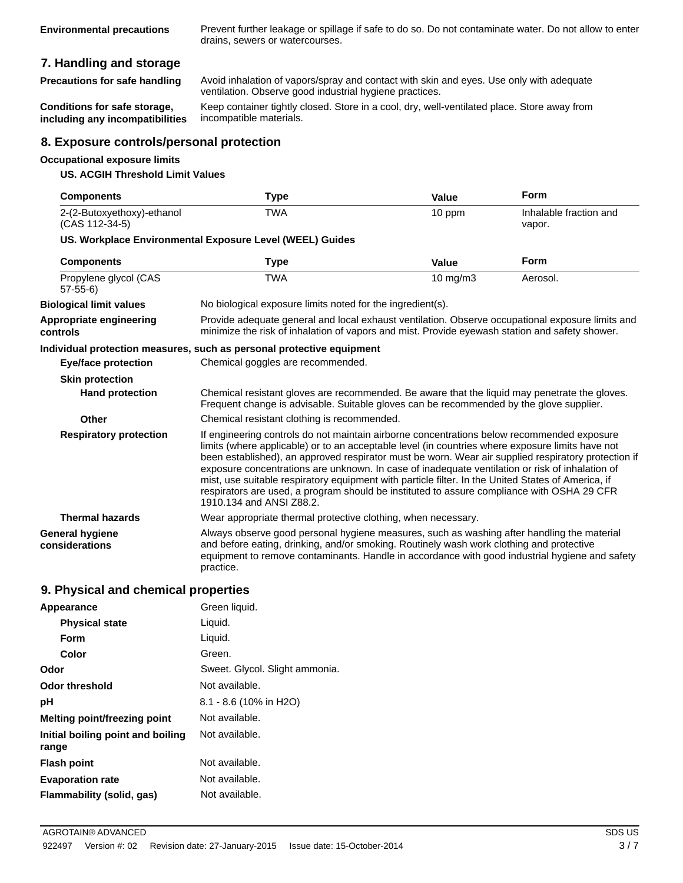**Environmental precautions** Prevent further leakage or spillage if safe to do so. Do not contaminate water. Do not allow to enter drains, sewers or watercourses.

#### **7. Handling and storage**

**Precautions for safe handling** Avoid inhalation of vapors/spray and contact with skin and eyes. Use only with adequate ventilation. Observe good industrial hygiene practices.

**Conditions for safe storage, including any incompatibilities** Keep container tightly closed. Store in a cool, dry, well-ventilated place. Store away from incompatible materials.

#### **8. Exposure controls/personal protection**

#### **Occupational exposure limits**

#### **US. ACGIH Threshold Limit Values**

| <b>Components</b>                            | Type                                                                                                                                                                                                                                                                                                                                                                                                                                                                                                                                                                                                                                     | Value    | Form                             |
|----------------------------------------------|------------------------------------------------------------------------------------------------------------------------------------------------------------------------------------------------------------------------------------------------------------------------------------------------------------------------------------------------------------------------------------------------------------------------------------------------------------------------------------------------------------------------------------------------------------------------------------------------------------------------------------------|----------|----------------------------------|
| 2-(2-Butoxyethoxy)-ethanol<br>(CAS 112-34-5) | <b>TWA</b>                                                                                                                                                                                                                                                                                                                                                                                                                                                                                                                                                                                                                               | 10 ppm   | Inhalable fraction and<br>vapor. |
|                                              | US. Workplace Environmental Exposure Level (WEEL) Guides                                                                                                                                                                                                                                                                                                                                                                                                                                                                                                                                                                                 |          |                                  |
| <b>Components</b>                            | Type                                                                                                                                                                                                                                                                                                                                                                                                                                                                                                                                                                                                                                     | Value    | Form                             |
| Propylene glycol (CAS<br>$57-55-6$           | <b>TWA</b>                                                                                                                                                                                                                                                                                                                                                                                                                                                                                                                                                                                                                               | 10 mg/m3 | Aerosol.                         |
| <b>Biological limit values</b>               | No biological exposure limits noted for the ingredient(s).                                                                                                                                                                                                                                                                                                                                                                                                                                                                                                                                                                               |          |                                  |
| Appropriate engineering<br>controls          | Provide adequate general and local exhaust ventilation. Observe occupational exposure limits and<br>minimize the risk of inhalation of vapors and mist. Provide eyewash station and safety shower.                                                                                                                                                                                                                                                                                                                                                                                                                                       |          |                                  |
|                                              | Individual protection measures, such as personal protective equipment                                                                                                                                                                                                                                                                                                                                                                                                                                                                                                                                                                    |          |                                  |
| <b>Eye/face protection</b>                   | Chemical goggles are recommended.                                                                                                                                                                                                                                                                                                                                                                                                                                                                                                                                                                                                        |          |                                  |
| <b>Skin protection</b>                       |                                                                                                                                                                                                                                                                                                                                                                                                                                                                                                                                                                                                                                          |          |                                  |
| <b>Hand protection</b>                       | Chemical resistant gloves are recommended. Be aware that the liquid may penetrate the gloves.<br>Frequent change is advisable. Suitable gloves can be recommended by the glove supplier.                                                                                                                                                                                                                                                                                                                                                                                                                                                 |          |                                  |
| Other                                        | Chemical resistant clothing is recommended.                                                                                                                                                                                                                                                                                                                                                                                                                                                                                                                                                                                              |          |                                  |
| <b>Respiratory protection</b>                | If engineering controls do not maintain airborne concentrations below recommended exposure<br>limits (where applicable) or to an acceptable level (in countries where exposure limits have not<br>been established), an approved respirator must be worn. Wear air supplied respiratory protection if<br>exposure concentrations are unknown. In case of inadequate ventilation or risk of inhalation of<br>mist, use suitable respiratory equipment with particle filter. In the United States of America, if<br>respirators are used, a program should be instituted to assure compliance with OSHA 29 CFR<br>1910.134 and ANSI Z88.2. |          |                                  |
| <b>Thermal hazards</b>                       | Wear appropriate thermal protective clothing, when necessary.                                                                                                                                                                                                                                                                                                                                                                                                                                                                                                                                                                            |          |                                  |
| <b>General hygiene</b><br>considerations     | Always observe good personal hygiene measures, such as washing after handling the material<br>and before eating, drinking, and/or smoking. Routinely wash work clothing and protective<br>equipment to remove contaminants. Handle in accordance with good industrial hygiene and safety<br>practice.                                                                                                                                                                                                                                                                                                                                    |          |                                  |

#### **9. Physical and chemical properties**

| Appearance                                 | Green liquid.                  |
|--------------------------------------------|--------------------------------|
| <b>Physical state</b>                      | Liquid.                        |
| Form                                       | Liquid.                        |
| Color                                      | Green.                         |
| Odor                                       | Sweet. Glycol. Slight ammonia. |
| <b>Odor threshold</b>                      | Not available.                 |
| рH                                         | 8.1 - 8.6 (10% in H2O)         |
| <b>Melting point/freezing point</b>        | Not available.                 |
| Initial boiling point and boiling<br>range | Not available.                 |
| <b>Flash point</b>                         | Not available.                 |
| <b>Evaporation rate</b>                    | Not available.                 |
| Flammability (solid, gas)                  | Not available.                 |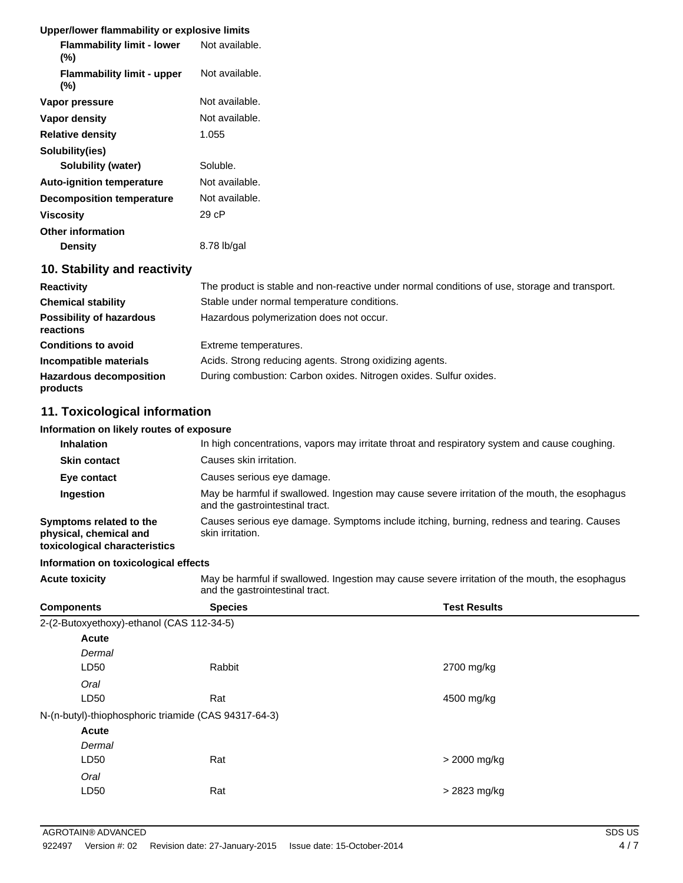#### **Upper/lower flammability or explosive limits**

| <b>Flammability limit - lower</b><br>(%) | Not available. |
|------------------------------------------|----------------|
| <b>Flammability limit - upper</b><br>(%) | Not available. |
| Vapor pressure                           | Not available. |
| Vapor density                            | Not available. |
| <b>Relative density</b>                  | 1.055          |
| Solubility(ies)                          |                |
| Solubility (water)                       | Soluble.       |
| <b>Auto-ignition temperature</b>         | Not available. |
| <b>Decomposition temperature</b>         | Not available. |
| <b>Viscosity</b>                         | 29 cP          |
| <b>Other information</b>                 |                |
| Density                                  | 8.78 lb/gal    |
|                                          |                |

#### **10. Stability and reactivity**

| <b>Reactivity</b>                            | The product is stable and non-reactive under normal conditions of use, storage and transport. |
|----------------------------------------------|-----------------------------------------------------------------------------------------------|
| <b>Chemical stability</b>                    | Stable under normal temperature conditions.                                                   |
| <b>Possibility of hazardous</b><br>reactions | Hazardous polymerization does not occur.                                                      |
| <b>Conditions to avoid</b>                   | Extreme temperatures.                                                                         |
| Incompatible materials                       | Acids. Strong reducing agents. Strong oxidizing agents.                                       |
| <b>Hazardous decomposition</b><br>products   | During combustion: Carbon oxides. Nitrogen oxides. Sulfur oxides.                             |

### **11. Toxicological information**

#### **Information on likely routes of exposure**

| <b>Inhalation</b>                                                                  | In high concentrations, vapors may irritate throat and respiratory system and cause coughing.                                     |
|------------------------------------------------------------------------------------|-----------------------------------------------------------------------------------------------------------------------------------|
| <b>Skin contact</b>                                                                | Causes skin irritation.                                                                                                           |
| Eye contact                                                                        | Causes serious eye damage.                                                                                                        |
| Ingestion                                                                          | May be harmful if swallowed. Ingestion may cause severe irritation of the mouth, the esophagus<br>and the gastrointestinal tract. |
| Symptoms related to the<br>physical, chemical and<br>toxicological characteristics | Causes serious eye damage. Symptoms include itching, burning, redness and tearing. Causes<br>skin irritation.                     |

#### **Information on toxicological effects**

**Acute toxicity** May be harmful if swallowed. Ingestion may cause severe irritation of the mouth, the esophagus and the gastrointestinal tract.

| <b>Components</b>                         | <b>Species</b>                                       | <b>Test Results</b> |
|-------------------------------------------|------------------------------------------------------|---------------------|
| 2-(2-Butoxyethoxy)-ethanol (CAS 112-34-5) |                                                      |                     |
| <b>Acute</b>                              |                                                      |                     |
| Dermal                                    |                                                      |                     |
| LD50                                      | Rabbit                                               | 2700 mg/kg          |
| Oral                                      |                                                      |                     |
| LD50                                      | Rat                                                  | 4500 mg/kg          |
|                                           | N-(n-butyl)-thiophosphoric triamide (CAS 94317-64-3) |                     |
| <b>Acute</b>                              |                                                      |                     |
| Dermal                                    |                                                      |                     |
| LD50                                      | Rat                                                  | > 2000 mg/kg        |
| Oral                                      |                                                      |                     |
| LD50                                      | Rat                                                  | > 2823 mg/kg        |
|                                           |                                                      |                     |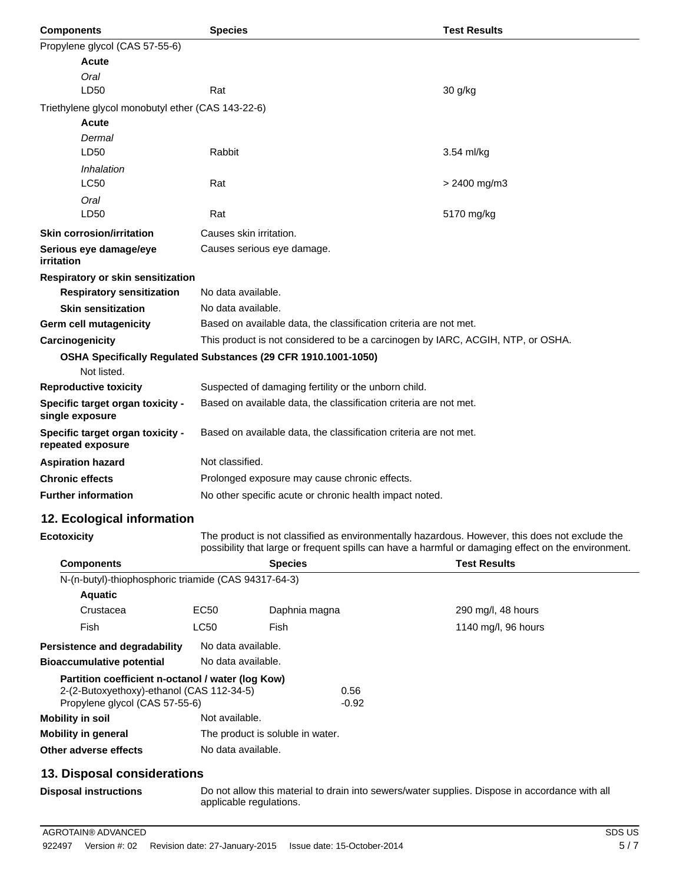| <b>Components</b>                                     | <b>Test Results</b><br><b>Species</b>                                           |                |  |
|-------------------------------------------------------|---------------------------------------------------------------------------------|----------------|--|
| Propylene glycol (CAS 57-55-6)                        |                                                                                 |                |  |
| Acute                                                 |                                                                                 |                |  |
| Oral                                                  |                                                                                 |                |  |
| LD50                                                  | Rat                                                                             | 30 g/kg        |  |
| Triethylene glycol monobutyl ether (CAS 143-22-6)     |                                                                                 |                |  |
| <b>Acute</b>                                          |                                                                                 |                |  |
| Dermal                                                |                                                                                 |                |  |
| LD50                                                  | Rabbit                                                                          | 3.54 ml/kg     |  |
| Inhalation                                            |                                                                                 |                |  |
| <b>LC50</b>                                           | Rat                                                                             | $> 2400$ mg/m3 |  |
| Oral                                                  |                                                                                 |                |  |
| LD50                                                  | Rat                                                                             | 5170 mg/kg     |  |
| <b>Skin corrosion/irritation</b>                      | Causes skin irritation.                                                         |                |  |
| Serious eye damage/eye<br>irritation                  | Causes serious eye damage.                                                      |                |  |
| Respiratory or skin sensitization                     |                                                                                 |                |  |
| <b>Respiratory sensitization</b>                      | No data available.                                                              |                |  |
| <b>Skin sensitization</b>                             | No data available.                                                              |                |  |
| Germ cell mutagenicity                                | Based on available data, the classification criteria are not met.               |                |  |
| Carcinogenicity                                       | This product is not considered to be a carcinogen by IARC, ACGIH, NTP, or OSHA. |                |  |
|                                                       | OSHA Specifically Regulated Substances (29 CFR 1910.1001-1050)                  |                |  |
| Not listed.                                           |                                                                                 |                |  |
| <b>Reproductive toxicity</b>                          | Suspected of damaging fertility or the unborn child.                            |                |  |
| Specific target organ toxicity -<br>single exposure   | Based on available data, the classification criteria are not met.               |                |  |
| Specific target organ toxicity -<br>repeated exposure | Based on available data, the classification criteria are not met.               |                |  |
| <b>Aspiration hazard</b>                              | Not classified.                                                                 |                |  |
| <b>Chronic effects</b>                                | Prolonged exposure may cause chronic effects.                                   |                |  |
| <b>Further information</b>                            | No other specific acute or chronic health impact noted.                         |                |  |
| 12. Ecological information                            |                                                                                 |                |  |

**Ecotoxicity** The product is not classified as environmentally hazardous. However, this does not exclude the possibility that large or frequent spills can have a harmful or damaging effect on the environment.

| <b>Components</b>                                                                                                                | <b>Species</b>     |                                  |                 | <b>Test Results</b> |  |
|----------------------------------------------------------------------------------------------------------------------------------|--------------------|----------------------------------|-----------------|---------------------|--|
| N-(n-butyl)-thiophosphoric triamide (CAS 94317-64-3)                                                                             |                    |                                  |                 |                     |  |
| <b>Aquatic</b>                                                                                                                   |                    |                                  |                 |                     |  |
| Crustacea                                                                                                                        | EC50               | Daphnia magna                    |                 | 290 mg/l, 48 hours  |  |
| Fish                                                                                                                             | LC50               | Fish                             |                 | 1140 mg/l, 96 hours |  |
| <b>Persistence and degradability</b>                                                                                             | No data available. |                                  |                 |                     |  |
| <b>Bioaccumulative potential</b>                                                                                                 | No data available. |                                  |                 |                     |  |
| Partition coefficient n-octanol / water (log Kow)<br>2-(2-Butoxyethoxy)-ethanol (CAS 112-34-5)<br>Propylene glycol (CAS 57-55-6) |                    |                                  | 0.56<br>$-0.92$ |                     |  |
| Mobility in soil                                                                                                                 | Not available.     |                                  |                 |                     |  |
| <b>Mobility in general</b>                                                                                                       |                    | The product is soluble in water. |                 |                     |  |
| Other adverse effects                                                                                                            | No data available. |                                  |                 |                     |  |
| 13. Disposal considerations                                                                                                      |                    |                                  |                 |                     |  |

**Disposal instructions** Do not allow this material to drain into sewers/water supplies. Dispose in accordance with all applicable regulations.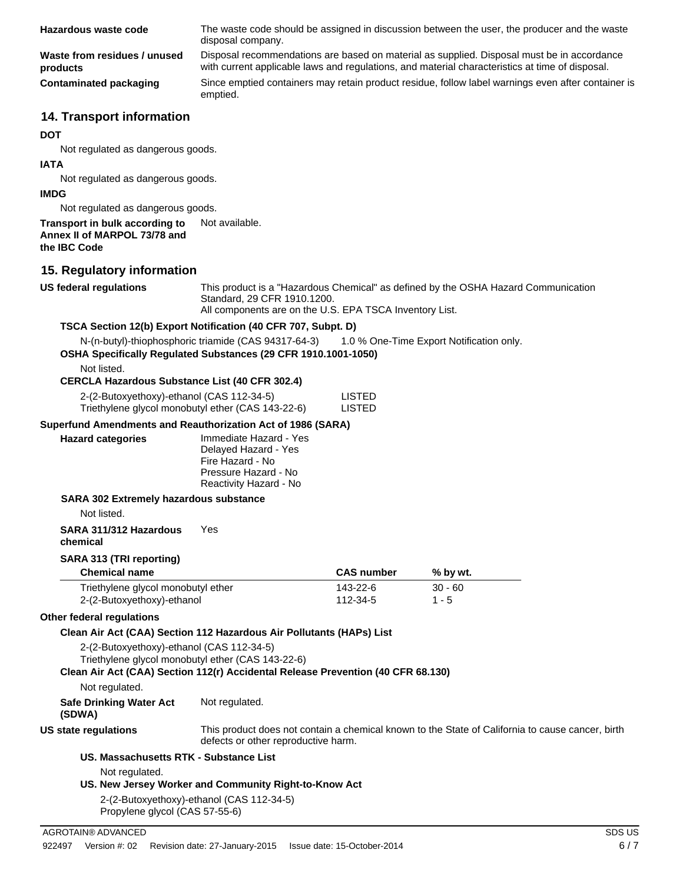| Hazardous waste code                           | The waste code should be assigned in discussion between the user, the producer and the waste<br>disposal company.                                                                             |
|------------------------------------------------|-----------------------------------------------------------------------------------------------------------------------------------------------------------------------------------------------|
| Waste from residues / unused<br>products       | Disposal recommendations are based on material as supplied. Disposal must be in accordance<br>with current applicable laws and regulations, and material characteristics at time of disposal. |
| <b>Contaminated packaging</b>                  | Since emptied containers may retain product residue, follow label warnings even after container is<br>emptied.                                                                                |
| <b>14. Transport information</b><br><b>DOT</b> |                                                                                                                                                                                               |

Not regulated as dangerous goods.

#### **IATA**

Not regulated as dangerous goods.

#### **IMDG**

Not regulated as dangerous goods.

#### **Transport in bulk according to** Not available. **Annex II of MARPOL 73/78 and the IBC Code**

#### **15. Regulatory information**

**US federal regulations** This product is a "Hazardous Chemical" as defined by the OSHA Hazard Communication Standard, 29 CFR 1910.1200.

All components are on the U.S. EPA TSCA Inventory List.

#### **TSCA Section 12(b) Export Notification (40 CFR 707, Subpt. D)**

N-(n-butyl)-thiophosphoric triamide (CAS 94317-64-3) 1.0 % One-Time Export Notification only.

**OSHA Specifically Regulated Substances (29 CFR 1910.1001-1050)**

Not listed.

#### **CERCLA Hazardous Substance List (40 CFR 302.4)**

| 2-(2-Butoxyethoxy)-ethanol (CAS 112-34-5)         | LISTED |
|---------------------------------------------------|--------|
| Triethylene glycol monobutyl ether (CAS 143-22-6) | LISTED |

#### **Superfund Amendments and Reauthorization Act of 1986 (SARA)**

| <b>Hazard categories</b> | Immediate Hazard - Yes<br>Delayed Hazard - Yes<br>Fire Hazard - No<br>Pressure Hazard - No |
|--------------------------|--------------------------------------------------------------------------------------------|
|                          | Reactivity Hazard - No                                                                     |

#### **SARA 302 Extremely hazardous substance**

Not listed.

#### **SARA 311/312 Hazardous chemical** Yes

#### **SARA 313 (TRI reporting)**

| <b>Chemical name</b>               | <b>CAS number</b> | % by wt.  |
|------------------------------------|-------------------|-----------|
| Triethylene glycol monobutyl ether | 143-22-6          | $30 - 60$ |
| 2-(2-Butoxyethoxy)-ethanol         | 112-34-5          | $1 - 5$   |

#### **Other federal regulations**

#### **Clean Air Act (CAA) Section 112 Hazardous Air Pollutants (HAPs) List**

2-(2-Butoxyethoxy)-ethanol (CAS 112-34-5)

Triethylene glycol monobutyl ether (CAS 143-22-6)

#### **Clean Air Act (CAA) Section 112(r) Accidental Release Prevention (40 CFR 68.130)**

Not regulated.

**Safe Drinking Water Act** Not regulated.

**(SDWA)**

**US state regulations** This product does not contain a chemical known to the State of California to cause cancer, birth defects or other reproductive harm.

#### **US. Massachusetts RTK - Substance List**

Not regulated.

#### **US. New Jersey Worker and Community Right-to-Know Act**

2-(2-Butoxyethoxy)-ethanol (CAS 112-34-5) Propylene glycol (CAS 57-55-6)